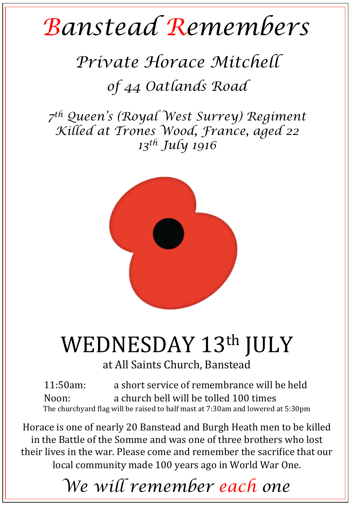## *Banstead Remembers*

## *Private Horace Mitchell of 44 Oatlands Road*

*7th Queen's (Royal West Surrey) Regiment Killed at Trones Wood, France, aged 22 13th July 1916* 



## WEDNESDAY 13th JULY

at All Saints Church, Banstead

11:50am: a short service of remembrance will be held Noon: a church bell will be tolled 100 times The churchyard flag will be raised to half mast at  $7:30$ am and lowered at  $5:30$ pm

Horace is one of nearly 20 Banstead and Burgh Heath men to be killed in the Battle of the Somme and was one of three brothers who lost their lives in the war. Please come and remember the sacrifice that our local community made 100 years ago in World War One.

*We will remember each one*